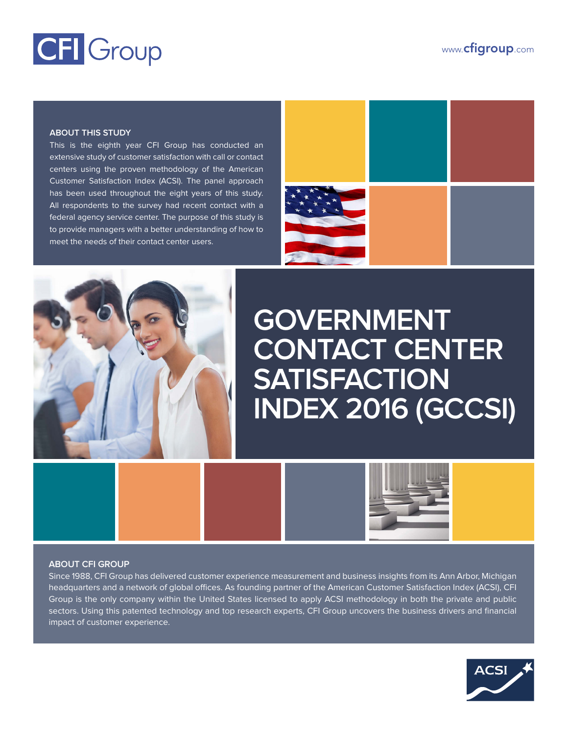# CFI Group

www.**cfigroup**.com

#### **ABOUT THIS STUDY**

This is the eighth year CFI Group has conducted an extensive study of customer satisfaction with call or contact centers using the proven methodology of the American Customer Satisfaction Index (ACSI). The panel approach has been used throughout the eight years of this study. All respondents to the survey had recent contact with a federal agency service center. The purpose of this study is to provide managers with a better understanding of how to meet the needs of their contact center users.





## **GOVERNMENT CONTACT CENTER SATISFACTION INDEX 2016 (GCCSI)**



#### **ABOUT CFI GROUP**

Since 1988, CFI Group has delivered customer experience measurement and business insights from its Ann Arbor, Michigan headquarters and a network of global offices. As founding partner of the American Customer Satisfaction Index (ACSI), CFI Group is the only company within the United States licensed to apply ACSI methodology in both the private and public sectors. Using this patented technology and top research experts, CFI Group uncovers the business drivers and financial impact of customer experience.

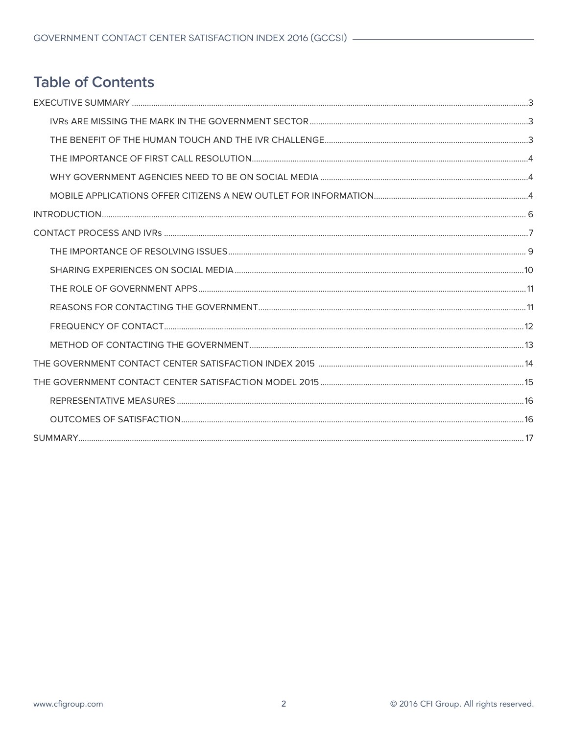## **Table of Contents**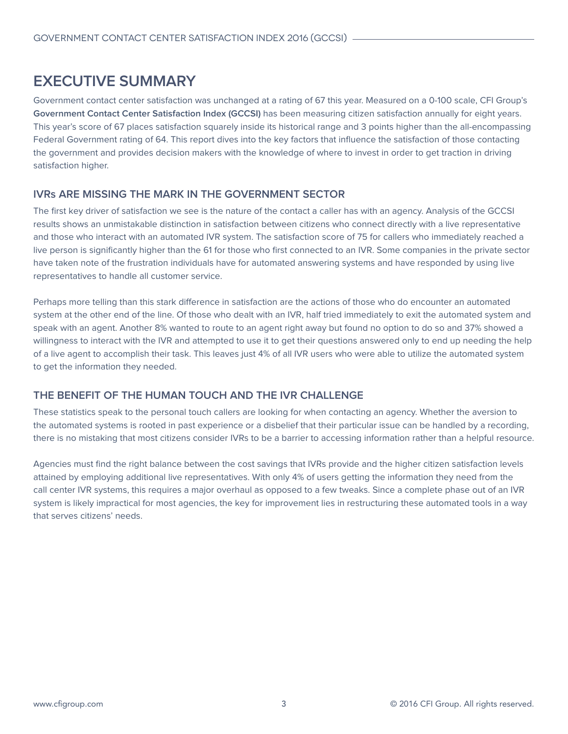## <span id="page-2-0"></span>**EXECUTIVE SUMMARY**

Government contact center satisfaction was unchanged at a rating of 67 this year. Measured on a 0-100 scale, CFI Group's **Government Contact Center Satisfaction Index (GCCSI)** has been measuring citizen satisfaction annually for eight years. This year's score of 67 places satisfaction squarely inside its historical range and 3 points higher than the all-encompassing Federal Government rating of 64. This report dives into the key factors that influence the satisfaction of those contacting the government and provides decision makers with the knowledge of where to invest in order to get traction in driving satisfaction higher.

#### **IVRs ARE MISSING THE MARK IN THE GOVERNMENT SECTOR**

The first key driver of satisfaction we see is the nature of the contact a caller has with an agency. Analysis of the GCCSI results shows an unmistakable distinction in satisfaction between citizens who connect directly with a live representative and those who interact with an automated IVR system. The satisfaction score of 75 for callers who immediately reached a live person is significantly higher than the 61 for those who first connected to an IVR. Some companies in the private sector have taken note of the frustration individuals have for automated answering systems and have responded by using live representatives to handle all customer service.

Perhaps more telling than this stark difference in satisfaction are the actions of those who do encounter an automated system at the other end of the line. Of those who dealt with an IVR, half tried immediately to exit the automated system and speak with an agent. Another 8% wanted to route to an agent right away but found no option to do so and 37% showed a willingness to interact with the IVR and attempted to use it to get their questions answered only to end up needing the help of a live agent to accomplish their task. This leaves just 4% of all IVR users who were able to utilize the automated system to get the information they needed.

#### **THE BENEFIT OF THE HUMAN TOUCH AND THE IVR CHALLENGE**

These statistics speak to the personal touch callers are looking for when contacting an agency. Whether the aversion to the automated systems is rooted in past experience or a disbelief that their particular issue can be handled by a recording, there is no mistaking that most citizens consider IVRs to be a barrier to accessing information rather than a helpful resource.

Agencies must find the right balance between the cost savings that IVRs provide and the higher citizen satisfaction levels attained by employing additional live representatives. With only 4% of users getting the information they need from the call center IVR systems, this requires a major overhaul as opposed to a few tweaks. Since a complete phase out of an IVR system is likely impractical for most agencies, the key for improvement lies in restructuring these automated tools in a way that serves citizens' needs.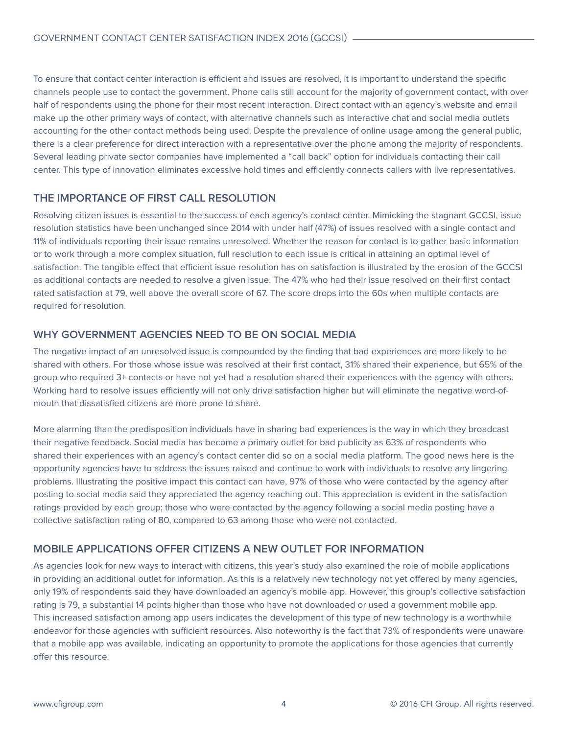<span id="page-3-0"></span>To ensure that contact center interaction is efficient and issues are resolved, it is important to understand the specific channels people use to contact the government. Phone calls still account for the majority of government contact, with over half of respondents using the phone for their most recent interaction. Direct contact with an agency's website and email make up the other primary ways of contact, with alternative channels such as interactive chat and social media outlets accounting for the other contact methods being used. Despite the prevalence of online usage among the general public, there is a clear preference for direct interaction with a representative over the phone among the majority of respondents. Several leading private sector companies have implemented a "call back" option for individuals contacting their call center. This type of innovation eliminates excessive hold times and efficiently connects callers with live representatives.

#### **THE IMPORTANCE OF FIRST CALL RESOLUTION**

Resolving citizen issues is essential to the success of each agency's contact center. Mimicking the stagnant GCCSI, issue resolution statistics have been unchanged since 2014 with under half (47%) of issues resolved with a single contact and 11% of individuals reporting their issue remains unresolved. Whether the reason for contact is to gather basic information or to work through a more complex situation, full resolution to each issue is critical in attaining an optimal level of satisfaction. The tangible effect that efficient issue resolution has on satisfaction is illustrated by the erosion of the GCCSI as additional contacts are needed to resolve a given issue. The 47% who had their issue resolved on their first contact rated satisfaction at 79, well above the overall score of 67. The score drops into the 60s when multiple contacts are required for resolution.

#### **WHY GOVERNMENT AGENCIES NEED TO BE ON SOCIAL MEDIA**

The negative impact of an unresolved issue is compounded by the finding that bad experiences are more likely to be shared with others. For those whose issue was resolved at their first contact, 31% shared their experience, but 65% of the group who required 3+ contacts or have not yet had a resolution shared their experiences with the agency with others. Working hard to resolve issues efficiently will not only drive satisfaction higher but will eliminate the negative word-ofmouth that dissatisfied citizens are more prone to share.

More alarming than the predisposition individuals have in sharing bad experiences is the way in which they broadcast their negative feedback. Social media has become a primary outlet for bad publicity as 63% of respondents who shared their experiences with an agency's contact center did so on a social media platform. The good news here is the opportunity agencies have to address the issues raised and continue to work with individuals to resolve any lingering problems. Illustrating the positive impact this contact can have, 97% of those who were contacted by the agency after posting to social media said they appreciated the agency reaching out. This appreciation is evident in the satisfaction ratings provided by each group; those who were contacted by the agency following a social media posting have a collective satisfaction rating of 80, compared to 63 among those who were not contacted.

#### **MOBILE APPLICATIONS OFFER CITIZENS A NEW OUTLET FOR INFORMATION**

As agencies look for new ways to interact with citizens, this year's study also examined the role of mobile applications in providing an additional outlet for information. As this is a relatively new technology not yet offered by many agencies, only 19% of respondents said they have downloaded an agency's mobile app. However, this group's collective satisfaction rating is 79, a substantial 14 points higher than those who have not downloaded or used a government mobile app. This increased satisfaction among app users indicates the development of this type of new technology is a worthwhile endeavor for those agencies with sufficient resources. Also noteworthy is the fact that 73% of respondents were unaware that a mobile app was available, indicating an opportunity to promote the applications for those agencies that currently offer this resource.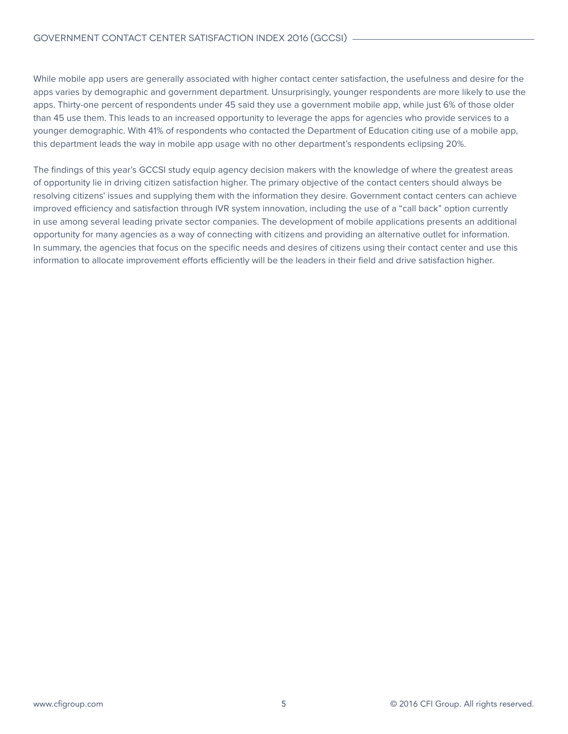While mobile app users are generally associated with higher contact center satisfaction, the usefulness and desire for the apps varies by demographic and government department. Unsurprisingly, younger respondents are more likely to use the apps. Thirty-one percent of respondents under 45 said they use a government mobile app, while just 6% of those older than 45 use them. This leads to an increased opportunity to leverage the apps for agencies who provide services to a younger demographic. With 41% of respondents who contacted the Department of Education citing use of a mobile app, this department leads the way in mobile app usage with no other department's respondents eclipsing 20%.

The findings of this year's GCCSI study equip agency decision makers with the knowledge of where the greatest areas of opportunity lie in driving citizen satisfaction higher. The primary objective of the contact centers should always be resolving citizens' issues and supplying them with the information they desire. Government contact centers can achieve improved efficiency and satisfaction through IVR system innovation, including the use of a "call back" option currently in use among several leading private sector companies. The development of mobile applications presents an additional opportunity for many agencies as a way of connecting with citizens and providing an alternative outlet for information. In summary, the agencies that focus on the specific needs and desires of citizens using their contact center and use this information to allocate improvement efforts efficiently will be the leaders in their field and drive satisfaction higher.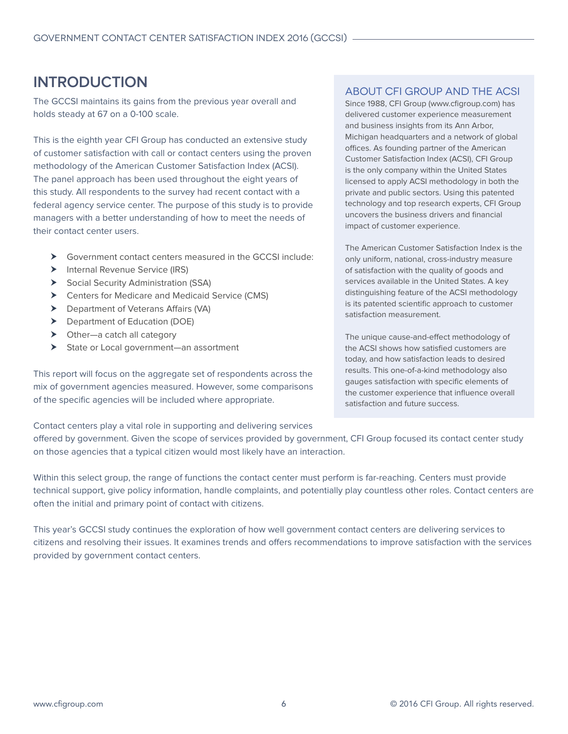## <span id="page-5-0"></span>**INTRODUCTION**

The GCCSI maintains its gains from the previous year overall and holds steady at 67 on a 0-100 scale.

This is the eighth year CFI Group has conducted an extensive study of customer satisfaction with call or contact centers using the proven methodology of the American Customer Satisfaction Index (ACSI). The panel approach has been used throughout the eight years of this study. All respondents to the survey had recent contact with a federal agency service center. The purpose of this study is to provide managers with a better understanding of how to meet the needs of their contact center users.

- $\triangleright$  Government contact centers measured in the GCCSI include:
- $\blacktriangleright$  Internal Revenue Service (IRS)
- $\triangleright$  Social Security Administration (SSA)
- ▶ Centers for Medicare and Medicaid Service (CMS)
- $\triangleright$  Department of Veterans Affairs (VA)
- $\triangleright$  Department of Education (DOE)
- $\triangleright$  Other—a catch all category
- ▶ State or Local government—an assortment

This report will focus on the aggregate set of respondents across the mix of government agencies measured. However, some comparisons of the specific agencies will be included where appropriate.

#### About CFI Group and the ACSI

Since 1988, CFI Group (www.cfigroup.com) has delivered customer experience measurement and business insights from its Ann Arbor, Michigan headquarters and a network of global offices. As founding partner of the American Customer Satisfaction Index (ACSI), CFI Group is the only company within the United States licensed to apply ACSI methodology in both the private and public sectors. Using this patented technology and top research experts, CFI Group uncovers the business drivers and financial impact of customer experience.

The American Customer Satisfaction Index is the only uniform, national, cross-industry measure of satisfaction with the quality of goods and services available in the United States. A key distinguishing feature of the ACSI methodology is its patented scientific approach to customer satisfaction measurement.

The unique cause-and-effect methodology of the ACSI shows how satisfied customers are today, and how satisfaction leads to desired results. This one-of-a-kind methodology also gauges satisfaction with specific elements of the customer experience that influence overall satisfaction and future success.

Contact centers play a vital role in supporting and delivering services

offered by government. Given the scope of services provided by government, CFI Group focused its contact center study on those agencies that a typical citizen would most likely have an interaction.

Within this select group, the range of functions the contact center must perform is far-reaching. Centers must provide technical support, give policy information, handle complaints, and potentially play countless other roles. Contact centers are often the initial and primary point of contact with citizens.

This year's GCCSI study continues the exploration of how well government contact centers are delivering services to citizens and resolving their issues. It examines trends and offers recommendations to improve satisfaction with the services provided by government contact centers.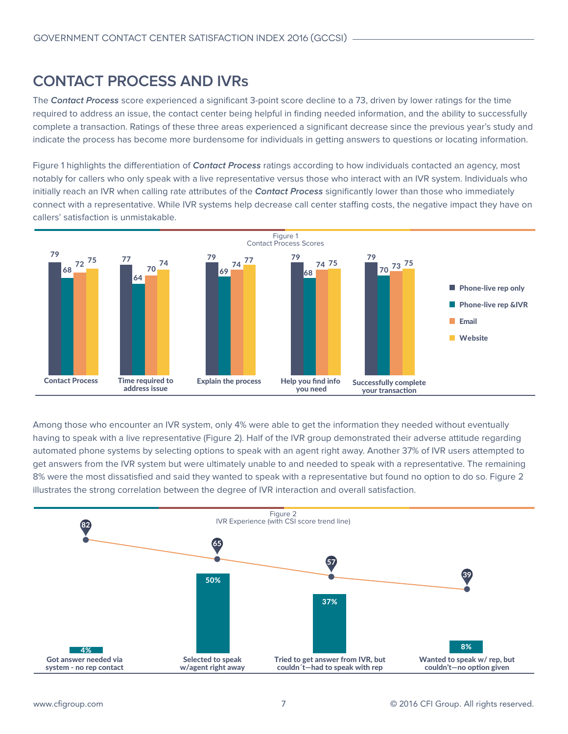### <span id="page-6-0"></span>**CONTACT PROCESS AND IVRs**

The **Contact Process** score experienced a significant 3-point score decline to a 73, driven by lower ratings for the time required to address an issue, the contact center being helpful in finding needed information, and the ability to successfully complete a transaction. Ratings of these three areas experienced a significant decrease since the previous year's study and indicate the process has become more burdensome for individuals in getting answers to questions or locating information.

Figure 1 highlights the differentiation of **Contact Process** ratings according to how individuals contacted an agency, most notably for callers who only speak with a live representative versus those who interact with an IVR system. Individuals who initially reach an IVR when calling rate attributes of the **Contact Process** significantly lower than those who immediately connect with a representative. While IVR systems help decrease call center staffing costs, the negative impact they have on callers' satisfaction is unmistakable.



Among those who encounter an IVR system, only 4% were able to get the information they needed without eventually having to speak with a live representative (Figure 2). Half of the IVR group demonstrated their adverse attitude regarding automated phone systems by selecting options to speak with an agent right away. Another 37% of IVR users attempted to get answers from the IVR system but were ultimately unable to and needed to speak with a representative. The remaining 8% were the most dissatisfied and said they wanted to speak with a representative but found no option to do so. Figure 2 illustrates the strong correlation between the degree of IVR interaction and overall satisfaction.

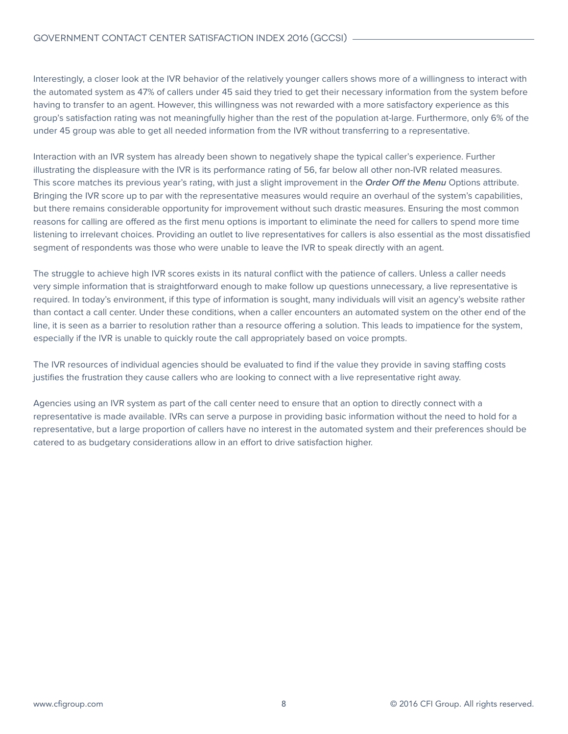Interestingly, a closer look at the IVR behavior of the relatively younger callers shows more of a willingness to interact with the automated system as 47% of callers under 45 said they tried to get their necessary information from the system before having to transfer to an agent. However, this willingness was not rewarded with a more satisfactory experience as this group's satisfaction rating was not meaningfully higher than the rest of the population at-large. Furthermore, only 6% of the under 45 group was able to get all needed information from the IVR without transferring to a representative.

Interaction with an IVR system has already been shown to negatively shape the typical caller's experience. Further illustrating the displeasure with the IVR is its performance rating of 56, far below all other non-IVR related measures. This score matches its previous year's rating, with just a slight improvement in the **Order Off the Menu** Options attribute. Bringing the IVR score up to par with the representative measures would require an overhaul of the system's capabilities, but there remains considerable opportunity for improvement without such drastic measures. Ensuring the most common reasons for calling are offered as the first menu options is important to eliminate the need for callers to spend more time listening to irrelevant choices. Providing an outlet to live representatives for callers is also essential as the most dissatisfied segment of respondents was those who were unable to leave the IVR to speak directly with an agent.

The struggle to achieve high IVR scores exists in its natural conflict with the patience of callers. Unless a caller needs very simple information that is straightforward enough to make follow up questions unnecessary, a live representative is required. In today's environment, if this type of information is sought, many individuals will visit an agency's website rather than contact a call center. Under these conditions, when a caller encounters an automated system on the other end of the line, it is seen as a barrier to resolution rather than a resource offering a solution. This leads to impatience for the system, especially if the IVR is unable to quickly route the call appropriately based on voice prompts.

The IVR resources of individual agencies should be evaluated to find if the value they provide in saving staffing costs justifies the frustration they cause callers who are looking to connect with a live representative right away.

Agencies using an IVR system as part of the call center need to ensure that an option to directly connect with a representative is made available. IVRs can serve a purpose in providing basic information without the need to hold for a representative, but a large proportion of callers have no interest in the automated system and their preferences should be catered to as budgetary considerations allow in an effort to drive satisfaction higher.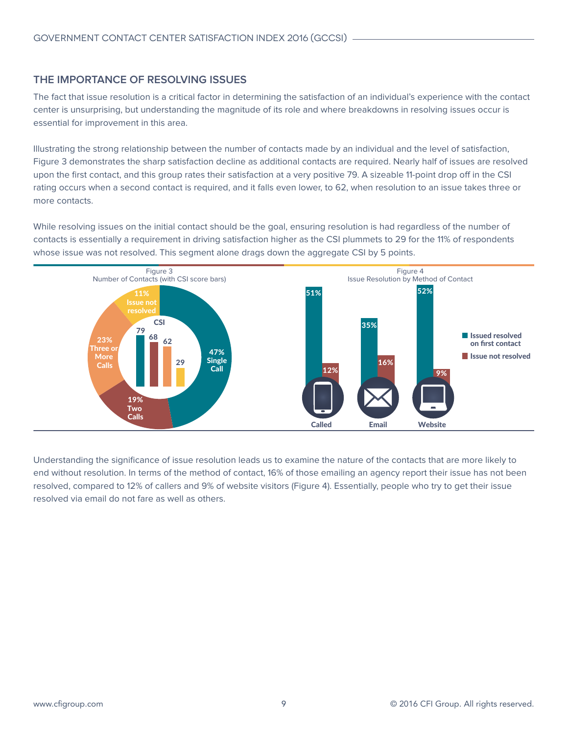#### <span id="page-8-0"></span>**THE IMPORTANCE OF RESOLVING ISSUES**

The fact that issue resolution is a critical factor in determining the satisfaction of an individual's experience with the contact center is unsurprising, but understanding the magnitude of its role and where breakdowns in resolving issues occur is essential for improvement in this area.

Illustrating the strong relationship between the number of contacts made by an individual and the level of satisfaction, Figure 3 demonstrates the sharp satisfaction decline as additional contacts are required. Nearly half of issues are resolved upon the first contact, and this group rates their satisfaction at a very positive 79. A sizeable 11-point drop off in the CSI rating occurs when a second contact is required, and it falls even lower, to 62, when resolution to an issue takes three or more contacts.

While resolving issues on the initial contact should be the goal, ensuring resolution is had regardless of the number of contacts is essentially a requirement in driving satisfaction higher as the CSI plummets to 29 for the 11% of respondents whose issue was not resolved. This segment alone drags down the aggregate CSI by 5 points.



Understanding the significance of issue resolution leads us to examine the nature of the contacts that are more likely to end without resolution. In terms of the method of contact, 16% of those emailing an agency report their issue has not been resolved, compared to 12% of callers and 9% of website visitors (Figure 4). Essentially, people who try to get their issue resolved via email do not fare as well as others.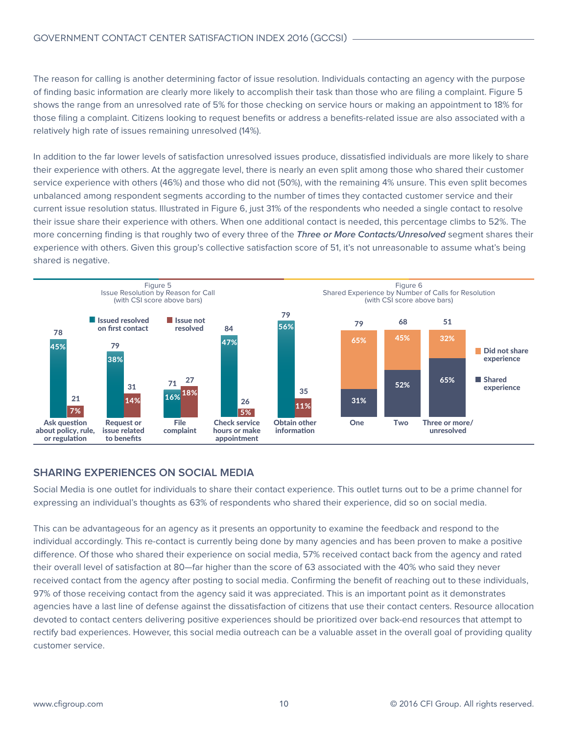<span id="page-9-0"></span>The reason for calling is another determining factor of issue resolution. Individuals contacting an agency with the purpose of finding basic information are clearly more likely to accomplish their task than those who are filing a complaint. Figure 5 shows the range from an unresolved rate of 5% for those checking on service hours or making an appointment to 18% for those filing a complaint. Citizens looking to request benefits or address a benefits-related issue are also associated with a relatively high rate of issues remaining unresolved (14%).

In addition to the far lower levels of satisfaction unresolved issues produce, dissatisfied individuals are more likely to share their experience with others. At the aggregate level, there is nearly an even split among those who shared their customer service experience with others (46%) and those who did not (50%), with the remaining 4% unsure. This even split becomes unbalanced among respondent segments according to the number of times they contacted customer service and their current issue resolution status. Illustrated in Figure 6, just 31% of the respondents who needed a single contact to resolve their issue share their experience with others. When one additional contact is needed, this percentage climbs to 52%. The more concerning finding is that roughly two of every three of the **Three or More Contacts/Unresolved** segment shares their experience with others. Given this group's collective satisfaction score of 51, it's not unreasonable to assume what's being shared is negative.



#### **SHARING EXPERIENCES ON SOCIAL MEDIA**

Social Media is one outlet for individuals to share their contact experience. This outlet turns out to be a prime channel for expressing an individual's thoughts as 63% of respondents who shared their experience, did so on social media.

This can be advantageous for an agency as it presents an opportunity to examine the feedback and respond to the individual accordingly. This re-contact is currently being done by many agencies and has been proven to make a positive difference. Of those who shared their experience on social media, 57% received contact back from the agency and rated their overall level of satisfaction at 80—far higher than the score of 63 associated with the 40% who said they never received contact from the agency after posting to social media. Confirming the benefit of reaching out to these individuals, 97% of those receiving contact from the agency said it was appreciated. This is an important point as it demonstrates agencies have a last line of defense against the dissatisfaction of citizens that use their contact centers. Resource allocation devoted to contact centers delivering positive experiences should be prioritized over back-end resources that attempt to rectify bad experiences. However, this social media outreach can be a valuable asset in the overall goal of providing quality customer service.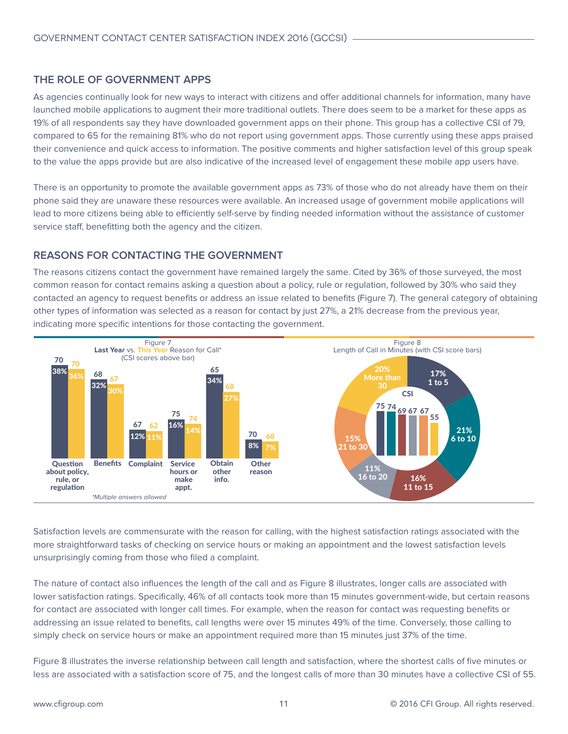#### <span id="page-10-0"></span>**THE ROLE OF GOVERNMENT APPS**

As agencies continually look for new ways to interact with citizens and offer additional channels for information, many have launched mobile applications to augment their more traditional outlets. There does seem to be a market for these apps as 19% of all respondents say they have downloaded government apps on their phone. This group has a collective CSI of 79, compared to 65 for the remaining 81% who do not report using government apps. Those currently using these apps praised their convenience and quick access to information. The positive comments and higher satisfaction level of this group speak to the value the apps provide but are also indicative of the increased level of engagement these mobile app users have.

There is an opportunity to promote the available government apps as 73% of those who do not already have them on their phone said they are unaware these resources were available. An increased usage of government mobile applications will lead to more citizens being able to efficiently self-serve by finding needed information without the assistance of customer service staff, benefitting both the agency and the citizen.

#### **REASONS FOR CONTACTING THE GOVERNMENT**

The reasons citizens contact the government have remained largely the same. Cited by 36% of those surveyed, the most common reason for contact remains asking a question about a policy, rule or regulation, followed by 30% who said they contacted an agency to request benefits or address an issue related to benefits (Figure 7). The general category of obtaining other types of information was selected as a reason for contact by just 27%, a 21% decrease from the previous year, indicating more specific intentions for those contacting the government.



Satisfaction levels are commensurate with the reason for calling, with the highest satisfaction ratings associated with the more straightforward tasks of checking on service hours or making an appointment and the lowest satisfaction levels unsurprisingly coming from those who filed a complaint.

The nature of contact also influences the length of the call and as Figure 8 illustrates, longer calls are associated with lower satisfaction ratings. Specifically, 46% of all contacts took more than 15 minutes government-wide, but certain reasons for contact are associated with longer call times. For example, when the reason for contact was requesting benefits or addressing an issue related to benefits, call lengths were over 15 minutes 49% of the time. Conversely, those calling to simply check on service hours or make an appointment required more than 15 minutes just 37% of the time.

Figure 8 illustrates the inverse relationship between call length and satisfaction, where the shortest calls of five minutes or less are associated with a satisfaction score of 75, and the longest calls of more than 30 minutes have a collective CSI of 55.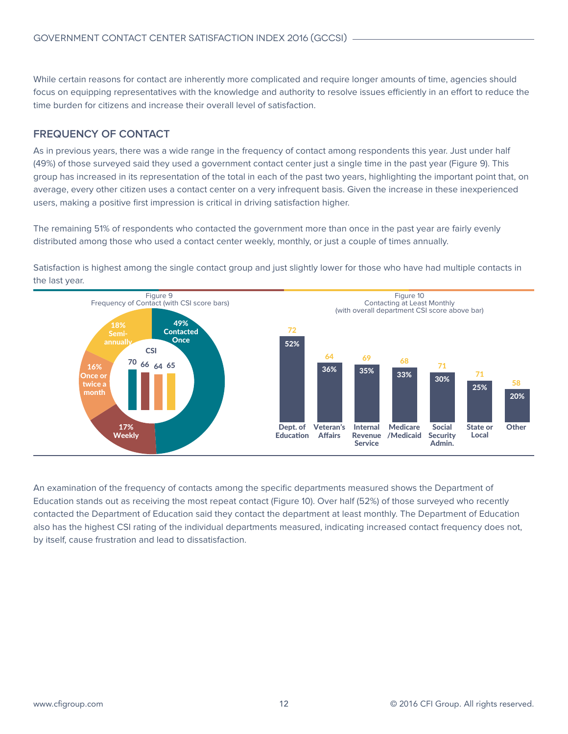<span id="page-11-0"></span>While certain reasons for contact are inherently more complicated and require longer amounts of time, agencies should focus on equipping representatives with the knowledge and authority to resolve issues efficiently in an effort to reduce the time burden for citizens and increase their overall level of satisfaction.

#### **FREQUENCY OF CONTACT**

As in previous years, there was a wide range in the frequency of contact among respondents this year. Just under half (49%) of those surveyed said they used a government contact center just a single time in the past year (Figure 9). This group has increased in its representation of the total in each of the past two years, highlighting the important point that, on average, every other citizen uses a contact center on a very infrequent basis. Given the increase in these inexperienced users, making a positive first impression is critical in driving satisfaction higher.

The remaining 51% of respondents who contacted the government more than once in the past year are fairly evenly distributed among those who used a contact center weekly, monthly, or just a couple of times annually.

Satisfaction is highest among the single contact group and just slightly lower for those who have had multiple contacts in the last year.



An examination of the frequency of contacts among the specific departments measured shows the Department of Education stands out as receiving the most repeat contact (Figure 10). Over half (52%) of those surveyed who recently contacted the Department of Education said they contact the department at least monthly. The Department of Education also has the highest CSI rating of the individual departments measured, indicating increased contact frequency does not, by itself, cause frustration and lead to dissatisfaction.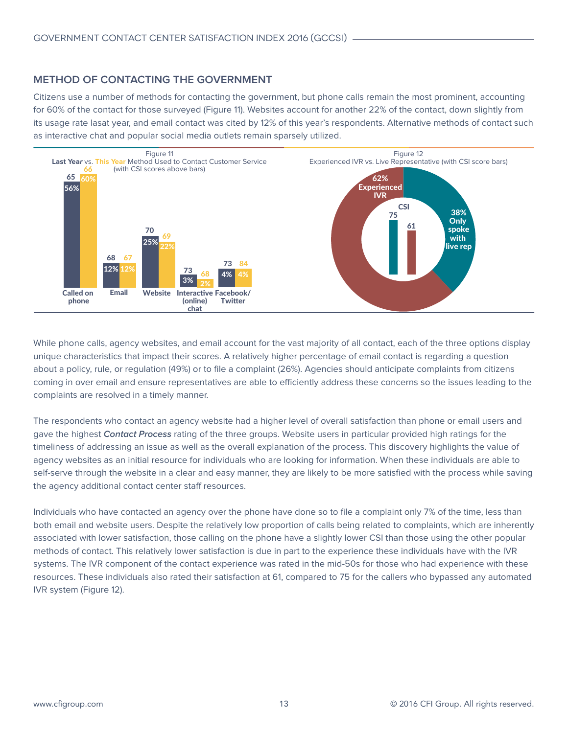#### <span id="page-12-0"></span>**METHOD OF CONTACTING THE GOVERNMENT**

Citizens use a number of methods for contacting the government, but phone calls remain the most prominent, accounting for 60% of the contact for those surveyed (Figure 11). Websites account for another 22% of the contact, down slightly from its usage rate lasat year, and email contact was cited by 12% of this year's respondents. Alternative methods of contact such as interactive chat and popular social media outlets remain sparsely utilized.



While phone calls, agency websites, and email account for the vast majority of all contact, each of the three options display unique characteristics that impact their scores. A relatively higher percentage of email contact is regarding a question about a policy, rule, or regulation (49%) or to file a complaint (26%). Agencies should anticipate complaints from citizens coming in over email and ensure representatives are able to efficiently address these concerns so the issues leading to the complaints are resolved in a timely manner.

The respondents who contact an agency website had a higher level of overall satisfaction than phone or email users and gave the highest **Contact Process** rating of the three groups. Website users in particular provided high ratings for the timeliness of addressing an issue as well as the overall explanation of the process. This discovery highlights the value of agency websites as an initial resource for individuals who are looking for information. When these individuals are able to self-serve through the website in a clear and easy manner, they are likely to be more satisfied with the process while saving the agency additional contact center staff resources.

Individuals who have contacted an agency over the phone have done so to file a complaint only 7% of the time, less than both email and website users. Despite the relatively low proportion of calls being related to complaints, which are inherently associated with lower satisfaction, those calling on the phone have a slightly lower CSI than those using the other popular methods of contact. This relatively lower satisfaction is due in part to the experience these individuals have with the IVR systems. The IVR component of the contact experience was rated in the mid-50s for those who had experience with these resources. These individuals also rated their satisfaction at 61, compared to 75 for the callers who bypassed any automated IVR system (Figure 12).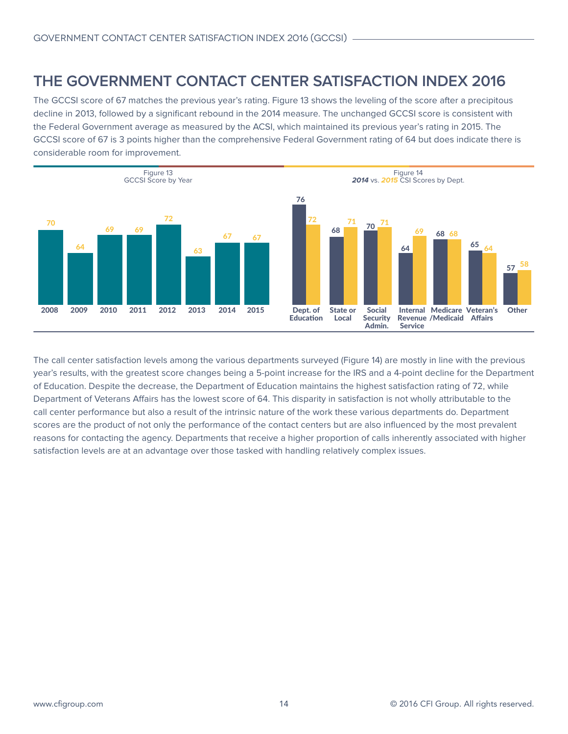## <span id="page-13-0"></span>**THE GOVERNMENT CONTACT CENTER SATISFACTION INDEX 2016**

The GCCSI score of 67 matches the previous year's rating. Figure 13 shows the leveling of the score after a precipitous decline in 2013, followed by a significant rebound in the 2014 measure. The unchanged GCCSI score is consistent with the Federal Government average as measured by the ACSI, which maintained its previous year's rating in 2015. The GCCSI score of 67 is 3 points higher than the comprehensive Federal Government rating of 64 but does indicate there is considerable room for improvement.



The call center satisfaction levels among the various departments surveyed (Figure 14) are mostly in line with the previous year's results, with the greatest score changes being a 5-point increase for the IRS and a 4-point decline for the Department of Education. Despite the decrease, the Department of Education maintains the highest satisfaction rating of 72, while Department of Veterans Affairs has the lowest score of 64. This disparity in satisfaction is not wholly attributable to the call center performance but also a result of the intrinsic nature of the work these various departments do. Department scores are the product of not only the performance of the contact centers but are also influenced by the most prevalent reasons for contacting the agency. Departments that receive a higher proportion of calls inherently associated with higher satisfaction levels are at an advantage over those tasked with handling relatively complex issues.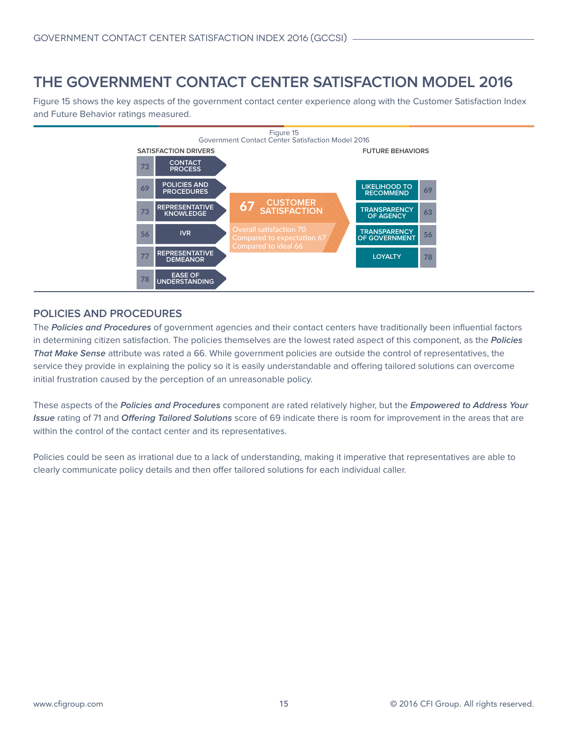## <span id="page-14-0"></span>**THE GOVERNMENT CONTACT CENTER SATISFACTION MODEL 2016**

Figure 15 shows the key aspects of the government contact center experience along with the Customer Satisfaction Index and Future Behavior ratings measured.



#### **POLICIES AND PROCEDURES**

The **Policies and Procedures** of government agencies and their contact centers have traditionally been influential factors in determining citizen satisfaction. The policies themselves are the lowest rated aspect of this component, as the **Policies That Make Sense** attribute was rated a 66. While government policies are outside the control of representatives, the service they provide in explaining the policy so it is easily understandable and offering tailored solutions can overcome initial frustration caused by the perception of an unreasonable policy.

These aspects of the **Policies and Procedures** component are rated relatively higher, but the **Empowered to Address Your Issue** rating of 71 and **Offering Tailored Solutions** score of 69 indicate there is room for improvement in the areas that are within the control of the contact center and its representatives.

Policies could be seen as irrational due to a lack of understanding, making it imperative that representatives are able to clearly communicate policy details and then offer tailored solutions for each individual caller.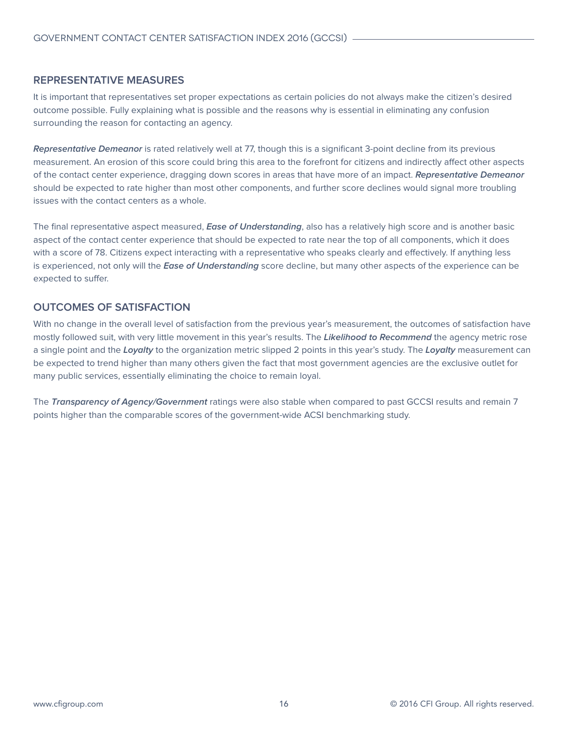#### <span id="page-15-0"></span>**REPRESENTATIVE MEASURES**

It is important that representatives set proper expectations as certain policies do not always make the citizen's desired outcome possible. Fully explaining what is possible and the reasons why is essential in eliminating any confusion surrounding the reason for contacting an agency.

**Representative Demeanor** is rated relatively well at 77, though this is a significant 3-point decline from its previous measurement. An erosion of this score could bring this area to the forefront for citizens and indirectly affect other aspects of the contact center experience, dragging down scores in areas that have more of an impact. **Representative Demeanor**  should be expected to rate higher than most other components, and further score declines would signal more troubling issues with the contact centers as a whole.

The final representative aspect measured, **Ease of Understanding**, also has a relatively high score and is another basic aspect of the contact center experience that should be expected to rate near the top of all components, which it does with a score of 78. Citizens expect interacting with a representative who speaks clearly and effectively. If anything less is experienced, not only will the **Ease of Understanding** score decline, but many other aspects of the experience can be expected to suffer.

#### **OUTCOMES OF SATISFACTION**

With no change in the overall level of satisfaction from the previous year's measurement, the outcomes of satisfaction have mostly followed suit, with very little movement in this year's results. The **Likelihood to Recommend** the agency metric rose a single point and the **Loyalty** to the organization metric slipped 2 points in this year's study. The **Loyalty** measurement can be expected to trend higher than many others given the fact that most government agencies are the exclusive outlet for many public services, essentially eliminating the choice to remain loyal.

The **Transparency of Agency/Government** ratings were also stable when compared to past GCCSI results and remain 7 points higher than the comparable scores of the government-wide ACSI benchmarking study.